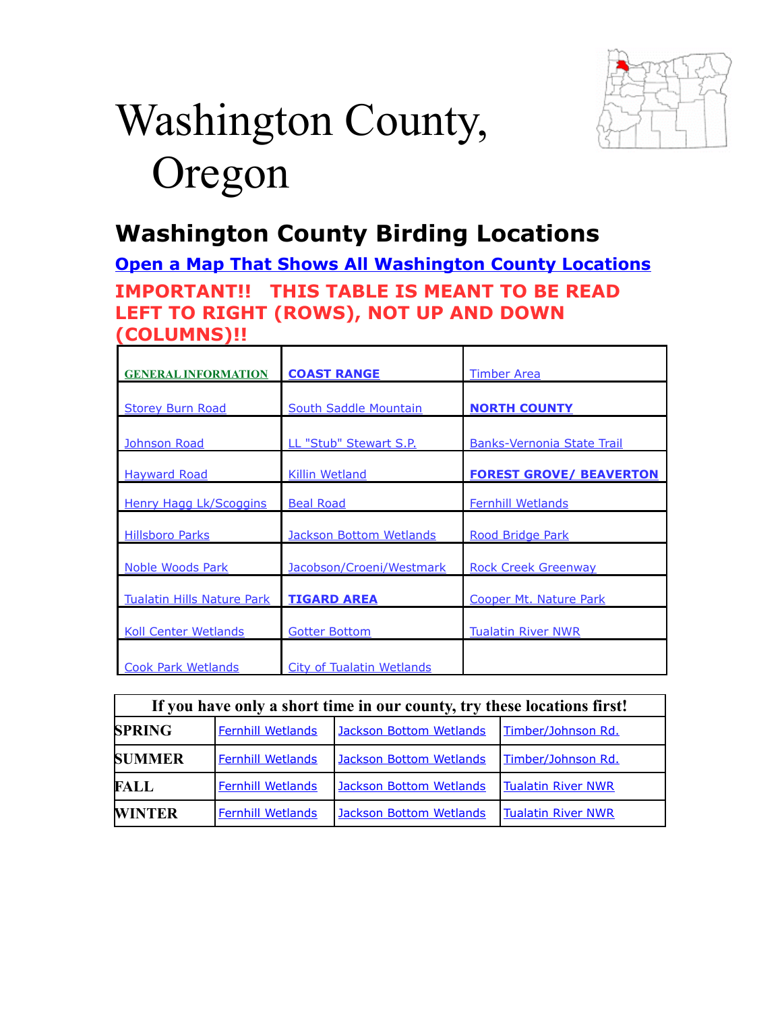

# Washington County, Oregon

# <span id="page-0-1"></span>**Washington County Birding Locations**

**[Open a Map That Shows All Washington County Locations](https://www.google.com/maps/d/edit?mid=zVl1oTDALjf4.k3y9l1pUGQJ8&usp=sharing)**

**IMPORTANT!! THIS TABLE IS MEANT TO BE READ LEFT TO RIGHT (ROWS), NOT UP AND DOWN (COLUMNS)!!**

| <b>GENERAL INFORMATION</b>        | <b>COAST RANGE</b>            | <b>Timber Area</b>                |  |
|-----------------------------------|-------------------------------|-----------------------------------|--|
| <b>Storey Burn Road</b>           | <b>South Saddle Mountain</b>  | <b>NORTH COUNTY</b>               |  |
| Johnson Road                      | <b>LL "Stub" Stewart S.P.</b> | <b>Banks-Vernonia State Trail</b> |  |
| <b>Hayward Road</b>               | <b>Killin Wetland</b>         | <b>FOREST GROVE/ BEAVERTON</b>    |  |
| <b>Henry Hagg Lk/Scoggins</b>     | <b>Beal Road</b>              | <b>Fernhill Wetlands</b>          |  |
| <b>Hillsboro Parks</b>            | Jackson Bottom Wetlands       | Rood Bridge Park                  |  |
| <b>Noble Woods Park</b>           | Jacobson/Croeni/Westmark      | <b>Rock Creek Greenway</b>        |  |
| <b>Tualatin Hills Nature Park</b> | <b>TIGARD AREA</b>            | Cooper Mt. Nature Park            |  |
| <b>Koll Center Wetlands</b>       | <b>Gotter Bottom</b>          | <b>Tualatin River NWR</b>         |  |
| <b>Cook Park Wetlands</b>         | City of Tualatin Wetlands     |                                   |  |

<span id="page-0-0"></span>

| If you have only a short time in our county, try these locations first! |                          |                                |                           |  |
|-------------------------------------------------------------------------|--------------------------|--------------------------------|---------------------------|--|
| <b>SPRING</b>                                                           | <b>Fernhill Wetlands</b> | Jackson Bottom Wetlands        | Timber/Johnson Rd.        |  |
| <b>SUMMER</b>                                                           | <b>Fernhill Wetlands</b> | <b>Jackson Bottom Wetlands</b> | Timber/Johnson Rd.        |  |
| <b>FALL</b>                                                             | <b>Fernhill Wetlands</b> | <b>Jackson Bottom Wetlands</b> | <b>Tualatin River NWR</b> |  |
| <b>WINTER</b>                                                           | <b>Fernhill Wetlands</b> | <b>Jackson Bottom Wetlands</b> | <b>Tualatin River NWR</b> |  |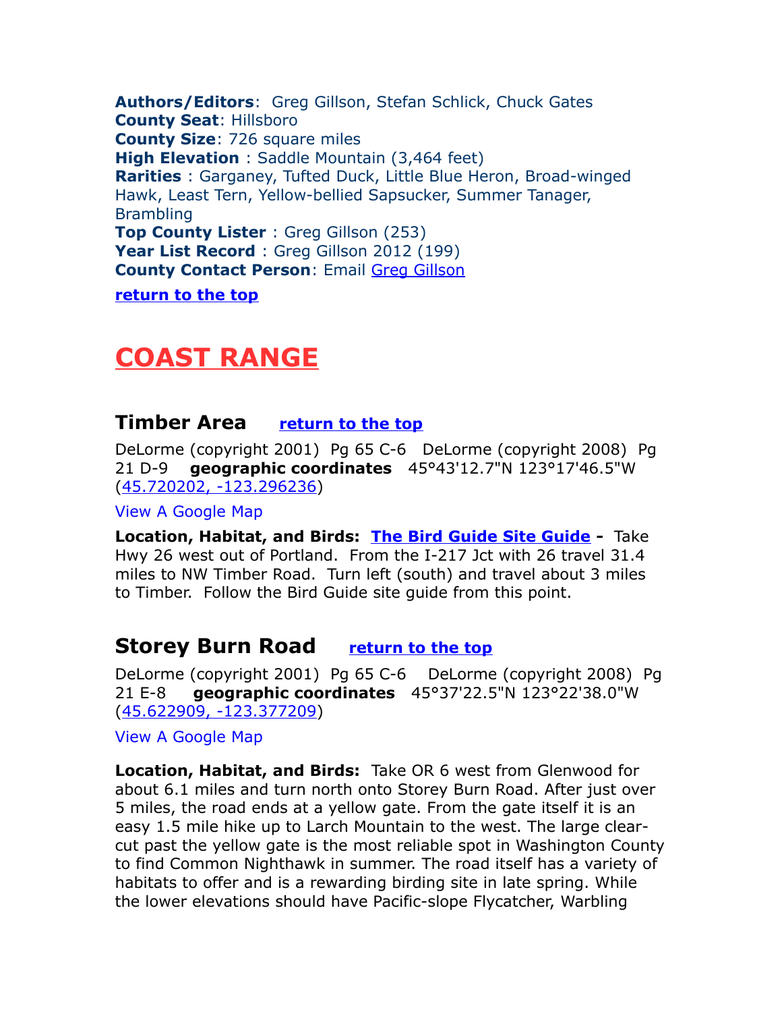**Authors/Editors**: Greg Gillson, Stefan Schlick, Chuck Gates **County Seat**: Hillsboro **County Size**: 726 square miles **High Elevation** : Saddle Mountain (3,464 feet) **Rarities** : Garganey, Tufted Duck, Little Blue Heron, Broad-winged Hawk, Least Tern, Yellow-bellied Sapsucker, Summer Tanager, Brambling **Top County Lister** : Greg Gillson (253) Year List Record : Greg Gillson 2012 (199) **County Contact Person**: Email [Greg Gillson](mailto:greg@thebirdguide.com) **[return to the top](#page-0-1)**

## <span id="page-1-2"></span>**COAST RANGE**

#### <span id="page-1-0"></span>**Timber Area [return to the top](#page-0-1)**

DeLorme (copyright 2001) Pg 65 C-6 DeLorme (copyright 2008) Pg 21 D-9 **geographic coordinates** 45°43'12.7"N 123°17'46.5"W [\(45.720202, -123.296236\)](https://www.google.com/maps/place/45%C2%B043)

[View A Google Map](http://maps.google.com/maps/ms?hl=en&ie=UTF8&msa=0&msid=108036481085398338899.000476b4e40dc5cb8da00&ll=45.715769,-123.296814&spn=0.823651,2.108002&z=10)

**Location, Habitat, and Birds: [The Bird Guide Site Guide](http://thebirdguide.com/washington/site_guides/timber/timber.htm) -** Take Hwy 26 west out of Portland. From the I-217 Jct with 26 travel 31.4 miles to NW Timber Road. Turn left (south) and travel about 3 miles to Timber. Follow the Bird Guide site guide from this point.

## <span id="page-1-1"></span>**Storey Burn Road [return to the top](#page-0-1)**

DeLorme (copyright 2001) Pg 65 C-6 DeLorme (copyright 2008) Pg 21 E-8 **geographic coordinates** 45°37'22.5"N 123°22'38.0"W [\(45.622909, -123.377209\)](https://www.google.com/maps/place/45%C2%B037)

[View A Google Map](http://maps.google.com/maps/ms?hl=en&ie=UTF8&msa=0&msid=108036481085398338899.00046dad81bddaac4bc90&ll=45.672603,-123.225403&spn=0.824287,2.108002&z=10)

**Location, Habitat, and Birds:** Take OR 6 west from Glenwood for about 6.1 miles and turn north onto Storey Burn Road. After just over 5 miles, the road ends at a yellow gate. From the gate itself it is an easy 1.5 mile hike up to Larch Mountain to the west. The large clearcut past the yellow gate is the most reliable spot in Washington County to find Common Nighthawk in summer. The road itself has a variety of habitats to offer and is a rewarding birding site in late spring. While the lower elevations should have Pacific-slope Flycatcher, Warbling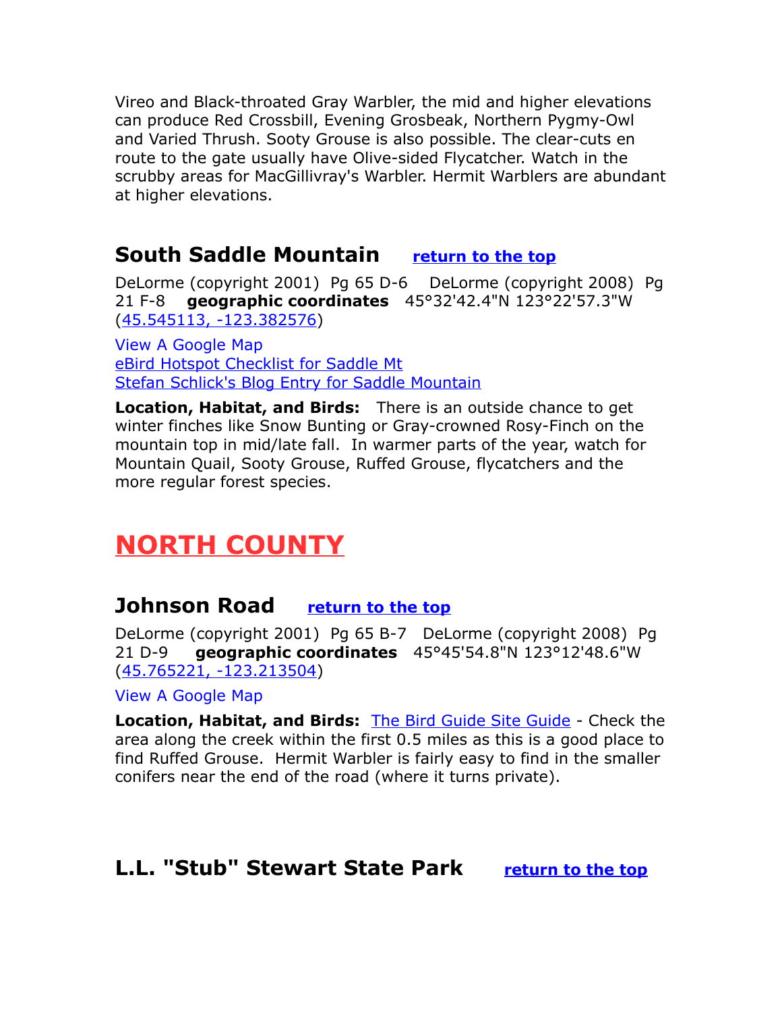Vireo and Black-throated Gray Warbler, the mid and higher elevations can produce Red Crossbill, Evening Grosbeak, Northern Pygmy-Owl and Varied Thrush. Sooty Grouse is also possible. The clear-cuts en route to the gate usually have Olive-sided Flycatcher. Watch in the scrubby areas for MacGillivray's Warbler. Hermit Warblers are abundant at higher elevations.

## <span id="page-2-2"></span>**South Saddle Mountain [return to the top](#page-0-1)**

DeLorme (copyright 2001) Pg 65 D-6 DeLorme (copyright 2008) Pg 21 F-8 **geographic coordinates** 45°32'42.4"N 123°22'57.3"W [\(45.545113, -123.382576\)](https://www.google.com/maps/place/45%C2%B032)

[View A Google Map](http://maps.google.com/maps/ms?hl=en&ie=UTF8&msa=0&msid=108036481085398338899.000476b5c1cf6d3f5b2c8&ll=45.539782,-123.341789&spn=0.206562,0.527&z=12) [eBird Hotspot Checklist for Saddle Mt](http://ebird.org/ebird/hotspot/L1584010) [Stefan Schlick's Blog Entry for Saddle Mountain](http://birdingwashingtoncounty.blogspot.com/2016/07/south-saddle-mountain_82.html)

**Location, Habitat, and Birds:** There is an outside chance to get winter finches like Snow Bunting or Gray-crowned Rosy-Finch on the mountain top in mid/late fall. In warmer parts of the year, watch for Mountain Quail, Sooty Grouse, Ruffed Grouse, flycatchers and the more regular forest species.

# <span id="page-2-1"></span>**NORTH COUNTY**

## **Johnson Road [return to the top](#page-0-1)**

DeLorme (copyright 2001) Pg 65 B-7 DeLorme (copyright 2008) Pg 21 D-9 **geographic coordinates** 45°45'54.8"N 123°12'48.6"W [\(45.765221, -123.213504\)](https://www.google.com/maps/place/45%C2%B045)

[View A Google Map](http://maps.google.com/maps/ms?hl=en&ie=UTF8&msa=0&msid=108036481085398338899.000476b5507eaaad069fd&ll=45.712413,-123.250122&spn=0.411852,1.054001&z=11)

**Location, Habitat, and Birds: [The Bird Guide Site Guide](http://thebirdguide.com/washington/site_guides/johnson_road/johnson_road.htm) - Check the** area along the creek within the first 0.5 miles as this is a good place to find Ruffed Grouse. Hermit Warbler is fairly easy to find in the smaller conifers near the end of the road (where it turns private).

## <span id="page-2-0"></span>**L.L. "Stub" Stewart State Park [return to the top](#page-0-1)**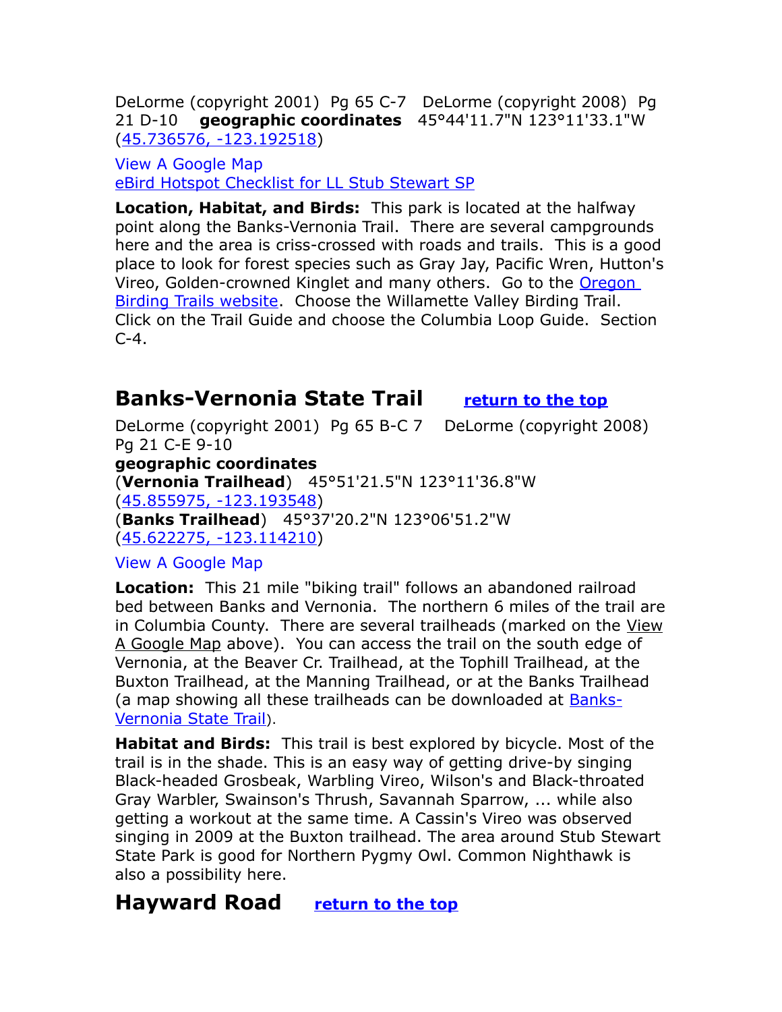DeLorme (copyright 2001) Pg 65 C-7 DeLorme (copyright 2008) Pg 21 D-10 **geographic coordinates** 45°44'11.7"N 123°11'33.1"W [\(45.736576, -123.192518\)](https://www.google.com/maps/place/45%C2%B044)

[View A Google Map](http://maps.google.com/maps/ms?hl=en&ie=UTF8&msa=0&msid=108036481085398338899.00046dad81bddaac4bc90&ll=45.672603,-123.225403&spn=0.824287,2.108002&z=10) [eBird Hotspot Checklist for LL Stub Stewart SP](http://ebird.org/ebird/hotspot/L1033641)

**Location, Habitat, and Birds:** This park is located at the halfway point along the Banks-Vernonia Trail. There are several campgrounds here and the area is criss-crossed with roads and trails. This is a good place to look for forest species such as Gray Jay, Pacific Wren, Hutton's Vireo, Golden-crowned Kinglet and many others. Go to the [Oregon](http://www.oregonbirdingtrails.org/)  **[Birding Trails website.](http://www.oregonbirdingtrails.org/)** Choose the Willamette Valley Birding Trail. Click on the Trail Guide and choose the Columbia Loop Guide. Section  $C-4$ .

## <span id="page-3-1"></span>**Banks-Vernonia State Trail [return to the top](#page-0-1)**

DeLorme (copyright 2001) Pg 65 B-C 7 DeLorme (copyright 2008) Pg 21 C-E 9-10 **geographic coordinates** (**Vernonia Trailhead**) 45°51'21.5"N 123°11'36.8"W [\(45.855975, -123.193548\)](https://www.google.com/maps/place/45%C2%B051) (**Banks Trailhead**) 45°37'20.2"N 123°06'51.2"W [\(45.622275, -123.114210\)](https://www.google.com/maps/place/45%C2%B037) [View A Google Map](http://maps.google.com/maps/ms?hl=en&ie=UTF8&msa=0&msid=108036481085398338899.00047cc0b3ebc3c75b17a&ll=45.801999,-123.167725&spn=0.82238,2.108002&z=10)

**Location:** This 21 mile "biking trail" follows an abandoned railroad bed between Banks and Vernonia. The northern 6 miles of the trail are in Columbia County. There are several trailheads (marked on the View A Google Map above). You can access the trail on the south edge of Vernonia, at the Beaver Cr. Trailhead, at the Tophill Trailhead, at the Buxton Trailhead, at the Manning Trailhead, or at the Banks Trailhead (a map showing all these trailheads can be downloaded at [Banks-](http://www.oregonstateparks.org/park_145.php)[Vernonia State Trail](http://www.oregonstateparks.org/park_145.php)).

**Habitat and Birds:** This trail is best explored by bicycle. Most of the trail is in the shade. This is an easy way of getting drive-by singing Black-headed Grosbeak, Warbling Vireo, Wilson's and Black-throated Gray Warbler, Swainson's Thrush, Savannah Sparrow, ... while also getting a workout at the same time. A Cassin's Vireo was observed singing in 2009 at the Buxton trailhead. The area around Stub Stewart State Park is good for Northern Pygmy Owl. Common Nighthawk is also a possibility here.

## <span id="page-3-0"></span>**Hayward Road [return to the top](#page-0-1)**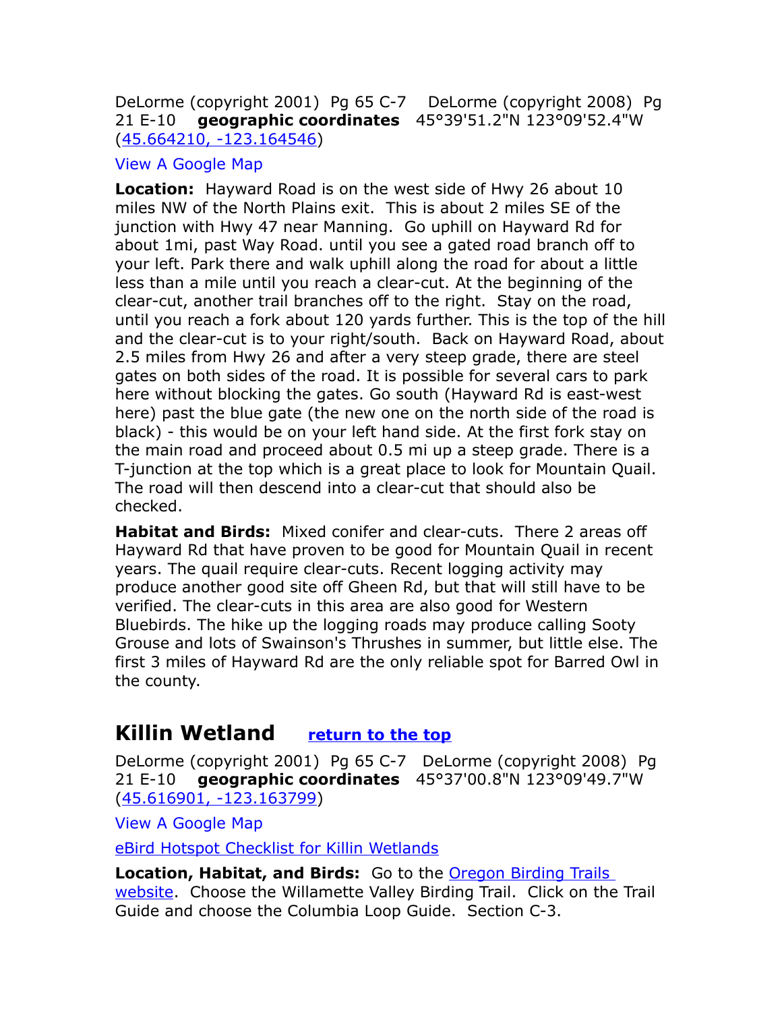#### DeLorme (copyright 2001) Pg 65 C-7 DeLorme (copyright 2008) Pg 21 E-10 **geographic coordinates** 45°39'51.2"N 123°09'52.4"W [\(45.664210, -123.164546\)](https://www.google.com/maps/place/45%C2%B039)

#### [View A Google Map](http://maps.google.com/maps/ms?hl=en&ie=UTF8&msa=0&msid=108036481085398338899.000476b5507eaaad069fd&ll=45.712413,-123.250122&spn=0.411852,1.054001&z=11)

**Location:** Hayward Road is on the west side of Hwy 26 about 10 miles NW of the North Plains exit. This is about 2 miles SE of the junction with Hwy 47 near Manning. Go uphill on Hayward Rd for about 1mi, past Way Road. until you see a gated road branch off to your left. Park there and walk uphill along the road for about a little less than a mile until you reach a clear-cut. At the beginning of the clear-cut, another trail branches off to the right. Stay on the road, until you reach a fork about 120 yards further. This is the top of the hill and the clear-cut is to your right/south. Back on Hayward Road, about 2.5 miles from Hwy 26 and after a very steep grade, there are steel gates on both sides of the road. It is possible for several cars to park here without blocking the gates. Go south (Hayward Rd is east-west here) past the blue gate (the new one on the north side of the road is black) - this would be on your left hand side. At the first fork stay on the main road and proceed about 0.5 mi up a steep grade. There is a T-junction at the top which is a great place to look for Mountain Quail. The road will then descend into a clear-cut that should also be checked.

**Habitat and Birds:** Mixed conifer and clear-cuts. There 2 areas off Hayward Rd that have proven to be good for Mountain Quail in recent years. The quail require clear-cuts. Recent logging activity may produce another good site off Gheen Rd, but that will still have to be verified. The clear-cuts in this area are also good for Western Bluebirds. The hike up the logging roads may produce calling Sooty Grouse and lots of Swainson's Thrushes in summer, but little else. The first 3 miles of Hayward Rd are the only reliable spot for Barred Owl in the county.

## <span id="page-4-0"></span>**Killin Wetland [return to the top](#page-0-1)**

DeLorme (copyright 2001) Pg 65 C-7 DeLorme (copyright 2008) Pg 21 E-10 **geographic coordinates** 45°37'00.8"N 123°09'49.7"W [\(45.616901, -123.163799\)](https://www.google.com/maps/place/45%C2%B037)

[View A Google Map](http://maps.google.com/maps/ms?hl=en&ie=UTF8&msa=0&msid=108036481085398338899.00046dad81bddaac4bc90&ll=45.672603,-123.225403&spn=0.824287,2.108002&z=10)

[eBird Hotspot Checklist for Killin Wetlands](http://ebird.org/ebird/hotspot/L698137)

**Location, Habitat, and Birds:** Go to the [Oregon Birding Trails](http://www.oregonbirdingtrails.org/)  [website.](http://www.oregonbirdingtrails.org/) Choose the Willamette Valley Birding Trail. Click on the Trail Guide and choose the Columbia Loop Guide. Section C-3.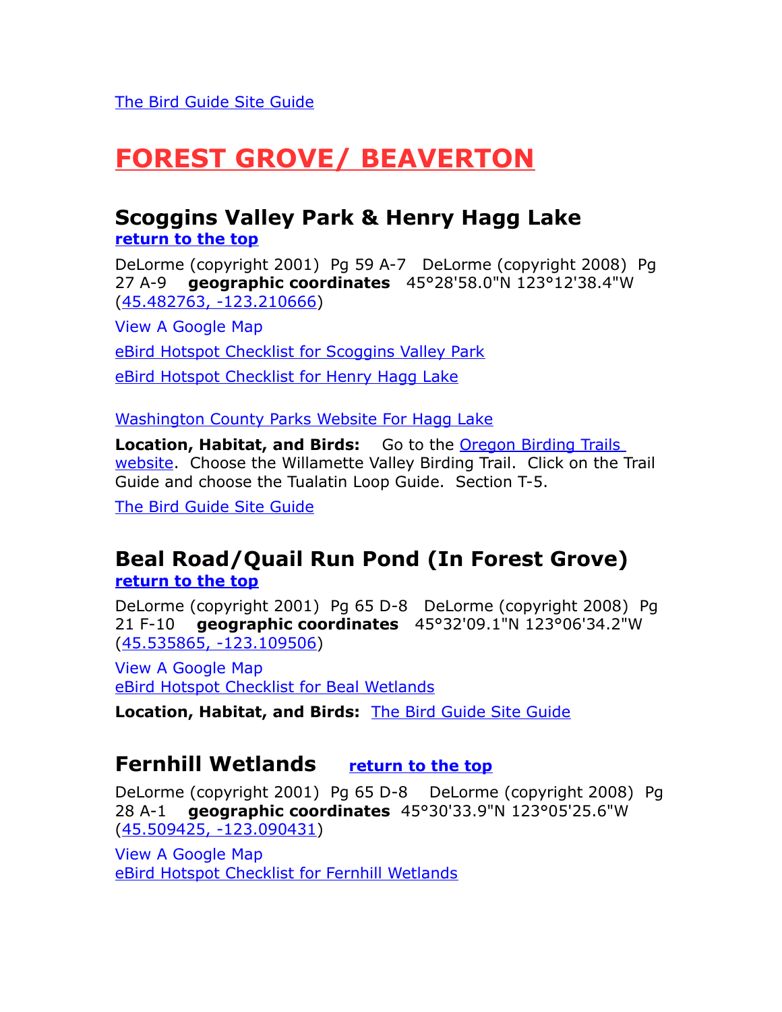# <span id="page-5-3"></span>**FOREST GROVE/ BEAVERTON**

# <span id="page-5-2"></span>**Scoggins Valley Park & Henry Hagg Lake**

**[return to the top](#page-0-1)**

DeLorme (copyright 2001) Pg 59 A-7 DeLorme (copyright 2008) Pg 27 A-9 **geographic coordinates** 45°28'58.0"N 123°12'38.4"W [\(45.482763, -123.210666\)](https://www.google.com/maps/place/45%C2%B028)

[View A Google Map](http://maps.google.com/maps/ms?hl=en&ie=UTF8&msa=0&ll=45.452424,-122.78595&spn=0.757205,2.110748&z=10&msid=108036481085398338899.00046dc2a84260c4e2639)  [eBird Hotspot Checklist for Scoggins Valley Park](http://ebird.org/ebird/hotspot/L510574) [eBird Hotspot Checklist for Henry Hagg Lake](http://ebird.org/ebird/hotspot/L493054)

[Washington County Parks Website For Hagg Lake](http://www.co.washington.or.us/Support_Services/Facilities/Parks/Hagglake/index.cfm) 

**Location, Habitat, and Birds:** Go to the **Oregon Birding Trails** [website.](http://www.oregonbirdingtrails.org/) Choose the Willamette Valley Birding Trail. Click on the Trail Guide and choose the Tualatin Loop Guide. Section T-5.

[The Bird Guide Site Guide](http://thebirdguide.com/washington/site_guides/hagg_lake/hagg_lake.htm) 

## <span id="page-5-1"></span>**Beal Road/Quail Run Pond (In Forest Grove) [return to the top](#page-0-1)**

DeLorme (copyright 2001) Pg 65 D-8 DeLorme (copyright 2008) Pg 21 F-10 **geographic coordinates** 45°32'09.1"N 123°06'34.2"W [\(45.535865, -123.109506\)](https://www.google.com/maps/place/45%C2%B032)

[View A Google Map](http://maps.google.com/maps/ms?hl=en&ie=UTF8&msa=0&msid=108036481085398338899.000476b519ff438f6fc8d&ll=45.530162,-123.105841&spn=0.051649,0.13175&z=14) [eBird Hotspot Checklist for Beal Wetlands](http://ebird.org/ebird/hotspot/L1543901)

**Location, Habitat, and Birds:** [The Bird Guide Site Guide](http://thebirdguide.com/washington/site_guides/quail_run/quail_run.htm) 

## <span id="page-5-0"></span>**Fernhill Wetlands [return to the top](#page-0-1)**

DeLorme (copyright 2001) Pg 65 D-8 DeLorme (copyright 2008) Pg 28 A-1 **geographic coordinates** 45°30'33.9"N 123°05'25.6"W [\(45.509425, -123.090431\)](https://www.google.com/maps/place/45%C2%B030)

[View A Google Map](http://maps.google.com/maps/ms?hl=en&ie=UTF8&msa=0&ll=45.452424,-122.78595&spn=0.757205,2.110748&z=10&msid=108036481085398338899.00046dc2a84260c4e2639) [eBird Hotspot Checklist for Fernhill Wetlands](http://ebird.org/ebird/hotspot/L163529)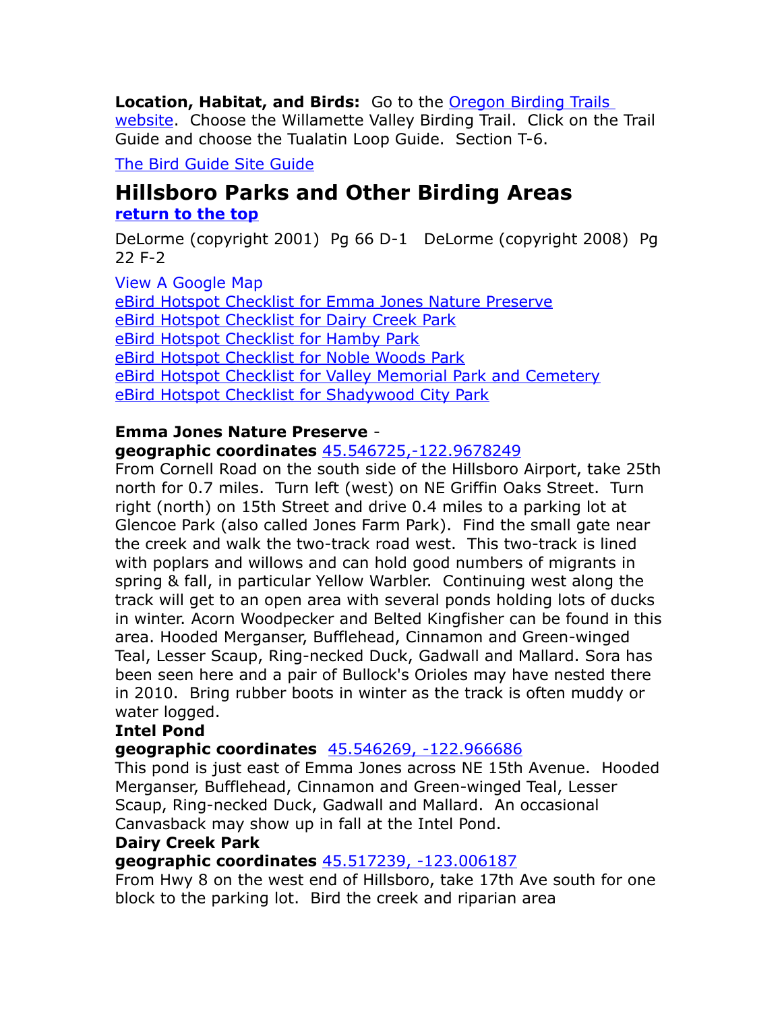**Location, Habitat, and Birds:** Go to the [Oregon Birding Trails](http://www.oregonbirdingtrails.org/)  [website.](http://www.oregonbirdingtrails.org/) Choose the Willamette Valley Birding Trail. Click on the Trail Guide and choose the Tualatin Loop Guide. Section T-6.

[The Bird Guide Site Guide](http://thebirdguide.com/washington/site_guides/fernhill_wetlands/fernhill.htm) 

## <span id="page-6-0"></span>**Hillsboro Parks and Other Birding Areas [return to the top](#page-0-1)**

DeLorme (copyright 2001) Pg 66 D-1 DeLorme (copyright 2008) Pg 22 F-2

[View A Google Map](http://maps.google.com/maps/ms?hl=en&source=hp&ie=UTF8&msa=0&msid=108036481085398338899.0004750d08963a62eb22b&ll=45.523428,-122.914009&spn=0.190987,0.528374&z=12) [eBird Hotspot Checklist for Emma Jones Nature Preserve](http://ebird.org/ebird/hotspot/L882687) [eBird Hotspot Checklist for Dairy Creek Park](http://ebird.org/ebird/hotspot/L1033301) [eBird Hotspot Checklist for Hamby Park](http://ebird.org/ebird/hotspot/L925557) [eBird Hotspot Checklist for Noble Woods Park](http://ebird.org/ebird/hotspot/L1255132) [eBird Hotspot Checklist for Valley Memorial Park and Cemetery](http://ebird.org/ebird/hotspot/L883119) [eBird Hotspot Checklist for Shadywood City Park](http://ebird.org/ebird/hotspot/L905291)

#### **Emma Jones Nature Preserve geographic coordinates** [45.546725,-122.9678249](https://www.google.com/maps/place/45%C2%B032)

From Cornell Road on the south side of the Hillsboro Airport, take 25th north for 0.7 miles. Turn left (west) on NE Griffin Oaks Street. Turn right (north) on 15th Street and drive 0.4 miles to a parking lot at Glencoe Park (also called Jones Farm Park). Find the small gate near the creek and walk the two-track road west. This two-track is lined with poplars and willows and can hold good numbers of migrants in spring & fall, in particular Yellow Warbler. Continuing west along the track will get to an open area with several ponds holding lots of ducks in winter. Acorn Woodpecker and Belted Kingfisher can be found in this area. Hooded Merganser, Bufflehead, Cinnamon and Green-winged Teal, Lesser Scaup, Ring-necked Duck, Gadwall and Mallard. Sora has been seen here and a pair of Bullock's Orioles may have nested there in 2010. Bring rubber boots in winter as the track is often muddy or water logged.

#### **Intel Pond**

#### **geographic coordinates** [45.546269, -122.966686](https://www.google.com/maps/place/45%C2%B032)

This pond is just east of Emma Jones across NE 15th Avenue. Hooded Merganser, Bufflehead, Cinnamon and Green-winged Teal, Lesser Scaup, Ring-necked Duck, Gadwall and Mallard. An occasional Canvasback may show up in fall at the Intel Pond.

#### **Dairy Creek Park**

#### **geographic coordinates** [45.517239, -123.006187](https://www.google.com/maps/place/45%C2%B031)

From Hwy 8 on the west end of Hillsboro, take 17th Ave south for one block to the parking lot. Bird the creek and riparian area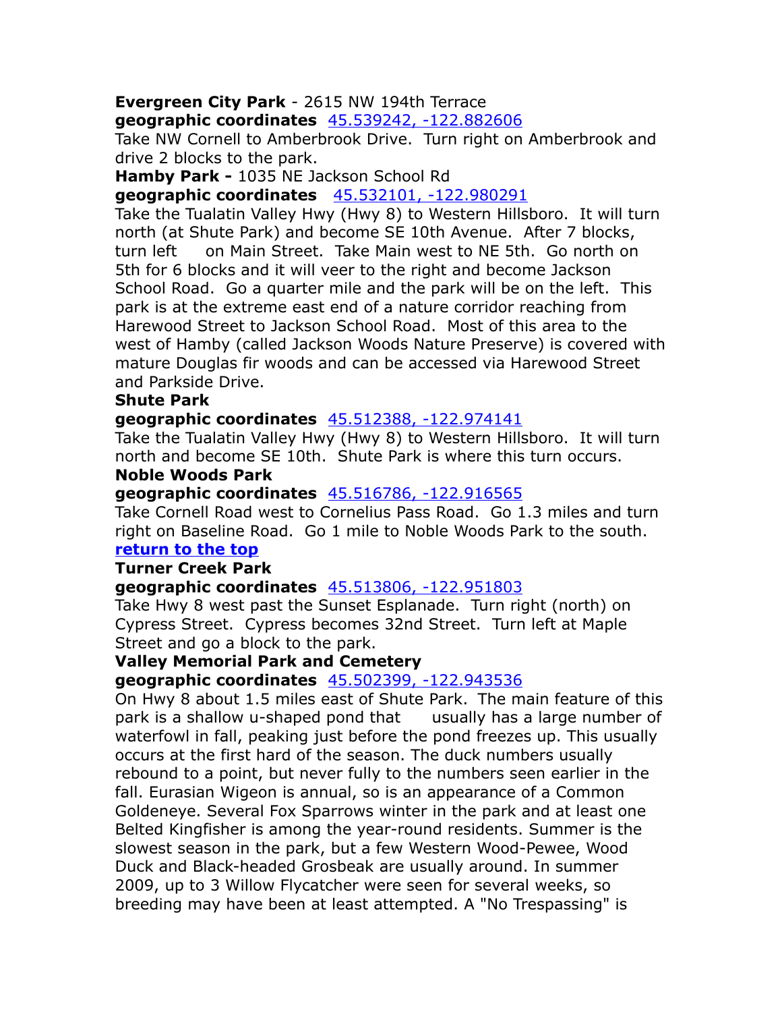## **Evergreen City Park** - 2615 NW 194th Terrace

**geographic coordinates** [45.539242, -122.882606](https://www.google.com/maps/place/45%C2%B032) 

Take NW Cornell to Amberbrook Drive. Turn right on Amberbrook and drive 2 blocks to the park.

**Hamby Park -** 1035 NE Jackson School Rd

**geographic coordinates** [45.532101, -122.980291](https://www.google.com/maps/place/45%C2%B031) 

Take the Tualatin Valley Hwy (Hwy 8) to Western Hillsboro. It will turn north (at Shute Park) and become SE 10th Avenue. After 7 blocks, turn left on Main Street. Take Main west to NE 5th. Go north on 5th for 6 blocks and it will veer to the right and become Jackson School Road. Go a quarter mile and the park will be on the left. This park is at the extreme east end of a nature corridor reaching from Harewood Street to Jackson School Road. Most of this area to the west of Hamby (called Jackson Woods Nature Preserve) is covered with mature Douglas fir woods and can be accessed via Harewood Street and Parkside Drive.

#### **Shute Park**

#### **geographic coordinates** [45.512388, -122.974141](https://www.google.com/maps/place/45%C2%B030)

Take the Tualatin Valley Hwy (Hwy 8) to Western Hillsboro. It will turn north and become SE 10th. Shute Park is where this turn occurs.

#### **Noble Woods Park**

#### **geographic coordinates** [45.516786, -122.916565](https://www.google.com/maps/place/45%C2%B031)

Take Cornell Road west to Cornelius Pass Road. Go 1.3 miles and turn right on Baseline Road. Go 1 mile to Noble Woods Park to the south. **[return to the top](#page-0-1)**

#### **Turner Creek Park**

#### **geographic coordinates** [45.513806, -122.951803](https://www.google.com/maps/place/45%C2%B030)

Take Hwy 8 west past the Sunset Esplanade. Turn right (north) on Cypress Street. Cypress becomes 32nd Street. Turn left at Maple Street and go a block to the park.

#### **Valley Memorial Park and Cemetery**

#### **geographic coordinates** [45.502399, -122.943536](https://www.google.com/maps/place/45%C2%B030)

On Hwy 8 about 1.5 miles east of Shute Park. The main feature of this park is a shallow u-shaped pond that usually has a large number of waterfowl in fall, peaking just before the pond freezes up. This usually occurs at the first hard of the season. The duck numbers usually rebound to a point, but never fully to the numbers seen earlier in the fall. Eurasian Wigeon is annual, so is an appearance of a Common Goldeneye. Several Fox Sparrows winter in the park and at least one Belted Kingfisher is among the year-round residents. Summer is the slowest season in the park, but a few Western Wood-Pewee, Wood Duck and Black-headed Grosbeak are usually around. In summer 2009, up to 3 Willow Flycatcher were seen for several weeks, so breeding may have been at least attempted. A "No Trespassing" is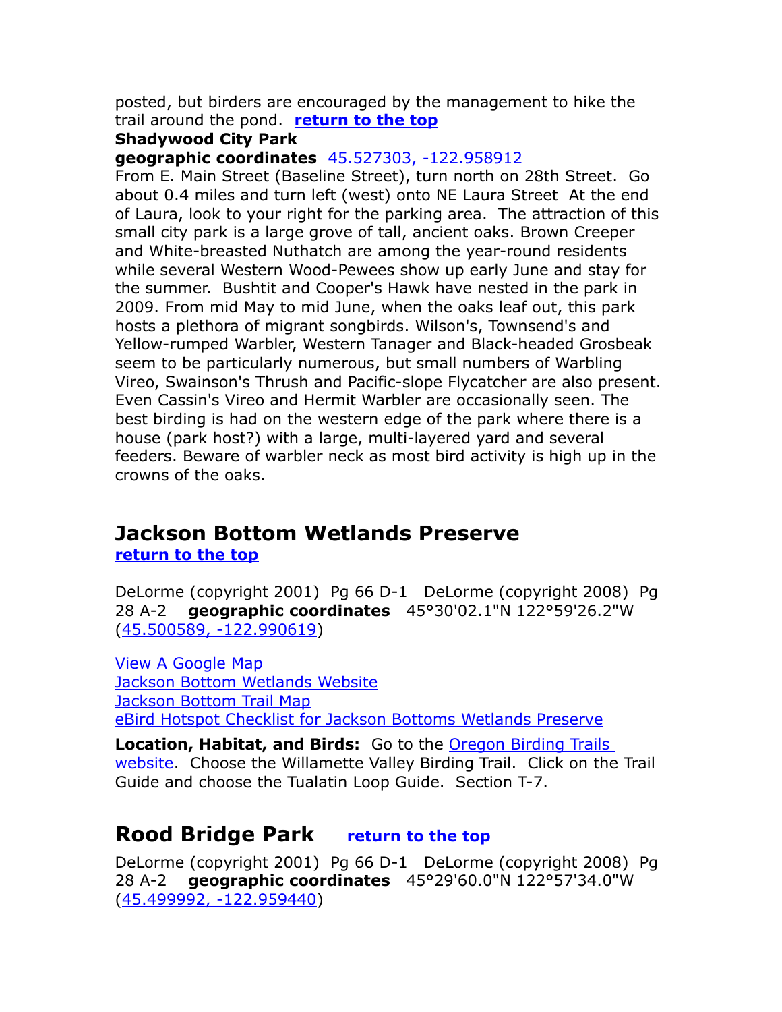posted, but birders are encouraged by the management to hike the trail around the pond. **[return to the top](#page-0-1)**

#### **Shadywood City Park**

**geographic coordinates** [45.527303, -122.958912](https://www.google.com/maps/place/45%C2%B031) 

From E. Main Street (Baseline Street), turn north on 28th Street. Go about 0.4 miles and turn left (west) onto NE Laura Street At the end of Laura, look to your right for the parking area. The attraction of this small city park is a large grove of tall, ancient oaks. Brown Creeper and White-breasted Nuthatch are among the year-round residents while several Western Wood-Pewees show up early June and stay for the summer. Bushtit and Cooper's Hawk have nested in the park in 2009. From mid May to mid June, when the oaks leaf out, this park hosts a plethora of migrant songbirds. Wilson's, Townsend's and Yellow-rumped Warbler, Western Tanager and Black-headed Grosbeak seem to be particularly numerous, but small numbers of Warbling Vireo, Swainson's Thrush and Pacific-slope Flycatcher are also present. Even Cassin's Vireo and Hermit Warbler are occasionally seen. The best birding is had on the western edge of the park where there is a house (park host?) with a large, multi-layered yard and several feeders. Beware of warbler neck as most bird activity is high up in the crowns of the oaks.

# <span id="page-8-0"></span>**Jackson Bottom Wetlands Preserve**

**[return to the top](#page-0-1)**

DeLorme (copyright 2001) Pg 66 D-1 DeLorme (copyright 2008) Pg 28 A-2 **geographic coordinates** 45°30'02.1"N 122°59'26.2"W [\(45.500589, -122.990619\)](https://www.google.com/maps/place/45%C2%B030)

[View A Google Map](http://maps.google.com/maps/ms?hl=en&ie=UTF8&msa=0&ll=45.452424,-122.78595&spn=0.757205,2.110748&z=10&msid=108036481085398338899.00046dc2a84260c4e2639) [Jackson Bottom Wetlands Website](http://www.jacksonbottom.org/) [Jackson Bottom Trail Map](http://www.jacksonbottom.org/wp-content/uploads/2015/01/JacksonBottom-trail-map.pdf)  [eBird Hotspot Checklist for Jackson Bottoms Wetlands Preserve](http://ebird.org/ebird/hotspot/L159584)

**Location, Habitat, and Birds:** Go to the Oregon Birding Trails [website.](http://www.oregonbirdingtrails.org/) Choose the Willamette Valley Birding Trail. Click on the Trail Guide and choose the Tualatin Loop Guide. Section T-7.

## <span id="page-8-1"></span>**Rood Bridge Park [return to the top](#page-0-1)**

DeLorme (copyright 2001) Pg 66 D-1 DeLorme (copyright 2008) Pg 28 A-2 **geographic coordinates** 45°29'60.0"N 122°57'34.0"W [\(45.499992, -122.959440\)](https://www.google.com/maps/place/45%C2%B029)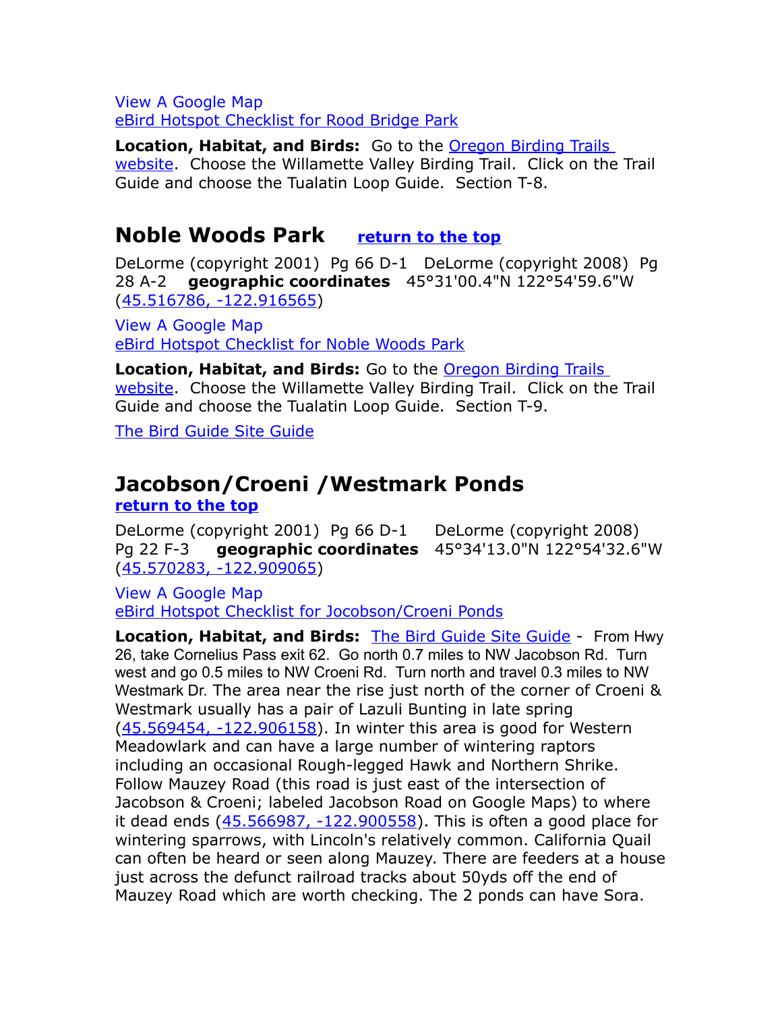[View A Google Map](http://maps.google.com/maps/ms?hl=en&ie=UTF8&msa=0&ll=45.452424,-122.78595&spn=0.757205,2.110748&z=10&msid=108036481085398338899.00046dc2a84260c4e2639) [eBird Hotspot Checklist for Rood Bridge Park](http://ebird.org/ebird/hotspot/L1027214)

**Location, Habitat, and Birds:** Go to the **Oregon Birding Trails** [website.](http://www.oregonbirdingtrails.org/) Choose the Willamette Valley Birding Trail. Click on the Trail Guide and choose the Tualatin Loop Guide. Section T-8.

## <span id="page-9-1"></span>**Noble Woods Park [return to the top](#page-0-1)**

DeLorme (copyright 2001) Pg 66 D-1 DeLorme (copyright 2008) Pg 28 A-2 **geographic coordinates** 45°31'00.4"N 122°54'59.6"W [\(45.516786, -122.916565\)](https://www.google.com/maps/place/45%C2%B031)

[View A Google Map](http://maps.google.com/maps/ms?hl=en&ie=UTF8&msa=0&ll=45.452424,-122.78595&spn=0.757205,2.110748&z=10&msid=108036481085398338899.00046dc2a84260c4e2639) [eBird Hotspot Checklist for Noble Woods Park](http://ebird.org/ebird/hotspot/L1255132)

**Location, Habitat, and Birds:** Go to the [Oregon Birding Trails](http://www.oregonbirdingtrails.org/)  [website.](http://www.oregonbirdingtrails.org/) Choose the Willamette Valley Birding Trail. Click on the Trail Guide and choose the Tualatin Loop Guide. Section T-9.

[The Bird Guide Site Guide](http://thebirdguide.com/washington/site_guides/noble_woods/noble_woods.htm) 

# <span id="page-9-0"></span>**Jacobson/Croeni /Westmark Ponds**

**[return to the top](#page-0-1)**

DeLorme (copyright 2001) Pg 66 D-1 DeLorme (copyright 2008) Pg 22 F-3 **geographic coordinates** 45°34'13.0"N 122°54'32.6"W [\(45.570283, -122.909065\)](https://www.google.com/maps/place/45%C2%B034)

[View A Google Map](http://maps.google.com/maps/ms?hl=en&ie=UTF8&msa=0&msid=108036481085398338899.000476b55ab915ec5d675&ll=45.564785,-122.907486&spn=0.20647,0.527&z=12) [eBird Hotspot Checklist for Jocobson/Croeni Ponds](http://ebird.org/ebird/hotspot/L1078409)

**Location, Habitat, and Birds: [The Bird Guide Site Guide](http://thebirdguide.com/washington/site_guides/west_union/west_union.htm) - From Hwy** 26, take Cornelius Pass exit 62. Go north 0.7 miles to NW Jacobson Rd. Turn west and go 0.5 miles to NW Croeni Rd. Turn north and travel 0.3 miles to NW Westmark Dr. The area near the rise just north of the corner of Croeni & Westmark usually has a pair of Lazuli Bunting in late spring [\(45.569454, -122.906158\)](https://www.google.com/maps/place/45%C2%B034). In winter this area is good for Western Meadowlark and can have a large number of wintering raptors including an occasional Rough-legged Hawk and Northern Shrike. Follow Mauzey Road (this road is just east of the intersection of Jacobson & Croeni; labeled Jacobson Road on Google Maps) to where it dead ends  $(45.566987, -122.900558)$ . This is often a good place for wintering sparrows, with Lincoln's relatively common. California Quail can often be heard or seen along Mauzey. There are feeders at a house just across the defunct railroad tracks about 50yds off the end of Mauzey Road which are worth checking. The 2 ponds can have Sora.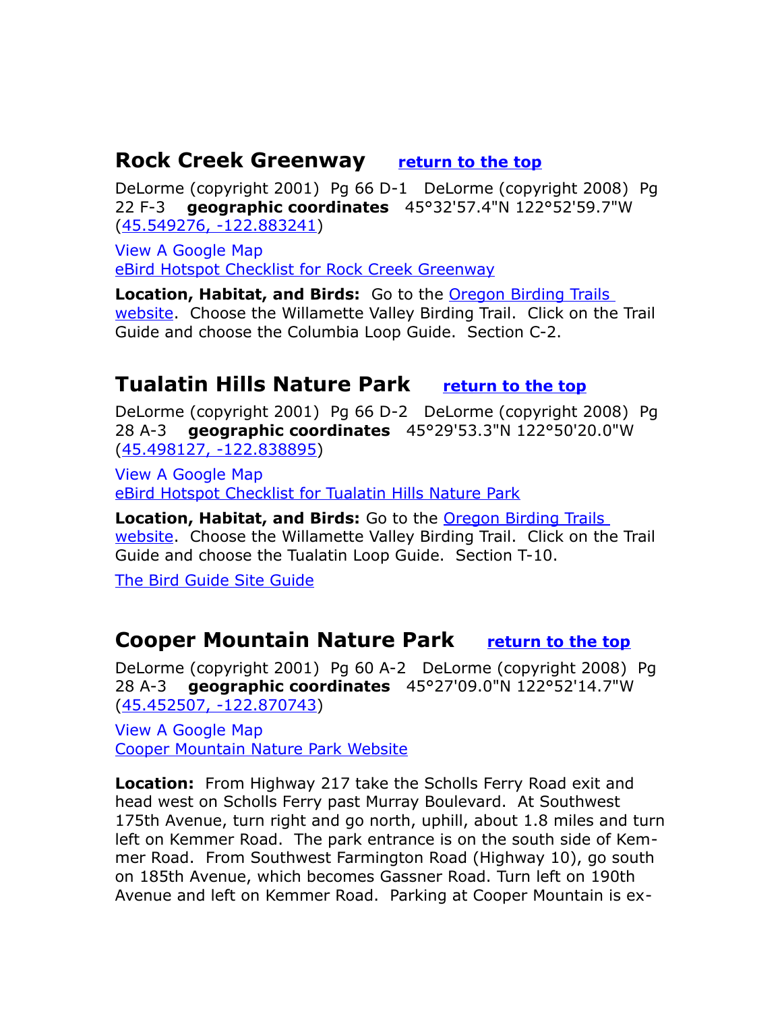## <span id="page-10-2"></span>**Rock Creek Greenway <u>[return to the top](#page-0-1)</u>**

DeLorme (copyright 2001) Pg 66 D-1 DeLorme (copyright 2008) Pg 22 F-3 **geographic coordinates** 45°32'57.4"N 122°52'59.7"W [\(45.549276, -122.883241\)](https://www.google.com/maps/place/45%C2%B032)

[View A Google Map](http://maps.google.com/maps/ms?hl=en&ie=UTF8&msa=0&msid=108036481085398338899.00046dad81bddaac4bc90&ll=45.672603,-123.225403&spn=0.824287,2.108002&z=10) [eBird Hotspot Checklist for Rock Creek Greenway](http://ebird.org/ebird/hotspot/L1535177)

**Location, Habitat, and Birds:** Go to the **Oregon Birding Trails** [website.](http://www.oregonbirdingtrails.org/) Choose the Willamette Valley Birding Trail. Click on the Trail Guide and choose the Columbia Loop Guide. Section C-2.

## <span id="page-10-1"></span>**Tualatin Hills Nature Park [return to the top](#page-0-1)**

DeLorme (copyright 2001) Pg 66 D-2 DeLorme (copyright 2008) Pg 28 A-3 **geographic coordinates** 45°29'53.3"N 122°50'20.0"W [\(45.498127, -122.838895\)](https://www.google.com/maps/place/45%C2%B029)

[View A Google Map](http://maps.google.com/maps/ms?hl=en&ie=UTF8&msa=0&ll=45.452424,-122.78595&spn=0.757205,2.110748&z=10&msid=108036481085398338899.00046dc2a84260c4e2639) [eBird Hotspot Checklist for Tualatin Hills Nature Park](http://ebird.org/ebird/hotspot/L247053)

**Location, Habitat, and Birds:** Go to the [Oregon Birding Trails](http://www.oregonbirdingtrails.org/)  [website.](http://www.oregonbirdingtrails.org/) Choose the Willamette Valley Birding Trail. Click on the Trail Guide and choose the Tualatin Loop Guide. Section T-10.

<span id="page-10-0"></span>[The Bird Guide Site Guide](http://thebirdguide.com/washington/site_guides/tualatin_hills/tualatin_hills.htm) 

## **Cooper Mountain Nature Park [return to the top](#page-0-1)**

DeLorme (copyright 2001) Pg 60 A-2 DeLorme (copyright 2008) Pg 28 A-3 **geographic coordinates** 45°27'09.0"N 122°52'14.7"W [\(45.452507, -122.870743\)](https://www.google.com/maps/place/45%C2%B027)

[View A Google Map](http://maps.google.com/maps/ms?hl=en&ie=UTF8&msa=0&msid=108036481085398338899.00046e430f9ffe26c4a5c&ll=45.453568,-122.864571&spn=0.02029,0.04755&z=15)  [Cooper Mountain Nature Park Website](http://www.oregonmetro.gov/parks/cooper-mountain-nature-park)

**Location:** From Highway 217 take the Scholls Ferry Road exit and head west on Scholls Ferry past Murray Boulevard. At Southwest 175th Avenue, turn right and go north, uphill, about 1.8 miles and turn left on Kemmer Road. The park entrance is on the south side of Kemmer Road. From Southwest Farmington Road (Highway 10), go south on 185th Avenue, which becomes Gassner Road. Turn left on 190th Avenue and left on Kemmer Road. Parking at Cooper Mountain is ex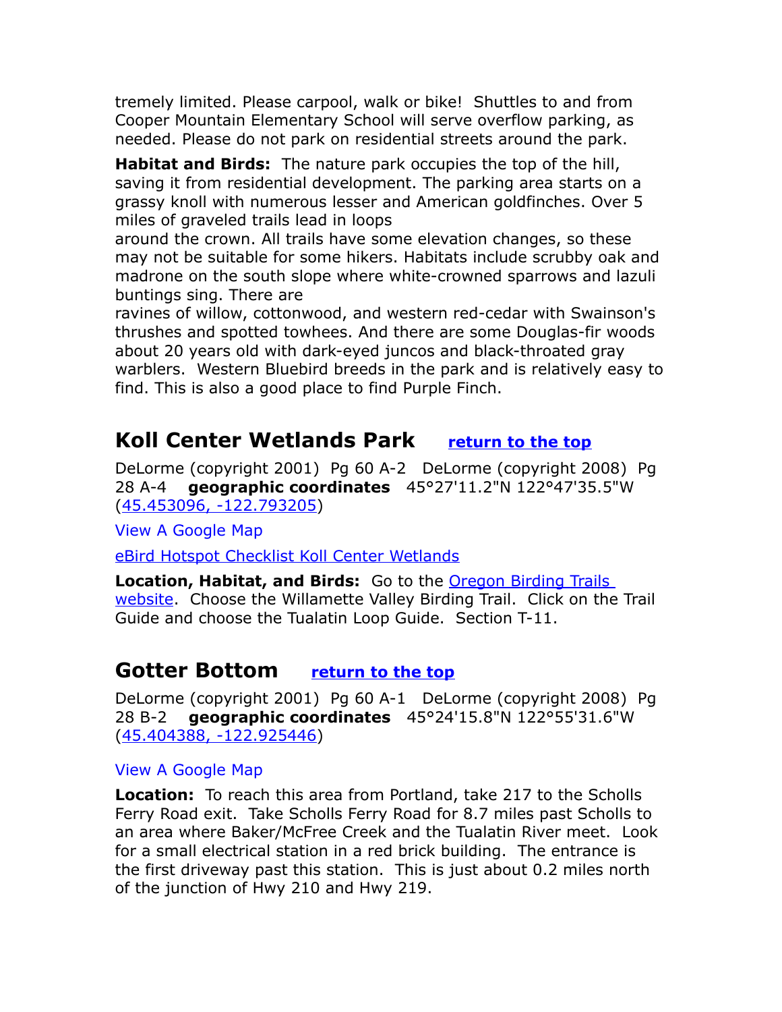tremely limited. Please carpool, walk or bike! Shuttles to and from Cooper Mountain Elementary School will serve overflow parking, as needed. Please do not park on residential streets around the park.

**Habitat and Birds:** The nature park occupies the top of the hill, saving it from residential development. The parking area starts on a grassy knoll with numerous lesser and American goldfinches. Over 5 miles of graveled trails lead in loops

around the crown. All trails have some elevation changes, so these may not be suitable for some hikers. Habitats include scrubby oak and madrone on the south slope where white-crowned sparrows and lazuli buntings sing. There are

ravines of willow, cottonwood, and western red-cedar with Swainson's thrushes and spotted towhees. And there are some Douglas-fir woods about 20 years old with dark-eyed juncos and black-throated gray warblers. Western Bluebird breeds in the park and is relatively easy to find. This is also a good place to find Purple Finch.

## <span id="page-11-1"></span>**Koll Center Wetlands Park [return to the top](#page-0-1)**

DeLorme (copyright 2001) Pg 60 A-2 DeLorme (copyright 2008) Pg 28 A-4 **geographic coordinates** 45°27'11.2"N 122°47'35.5"W [\(45.453096, -122.793205\)](https://www.google.com/maps/place/45%C2%B027)

[View A Google Map](http://maps.google.com/maps/ms?hl=en&ie=UTF8&msa=0&ll=45.452424,-122.78595&spn=0.757205,2.110748&z=10&msid=108036481085398338899.00046dc2a84260c4e2639)

[eBird Hotspot Checklist Koll Center Wetlands](http://ebird.org/ebird/hotspot/L807500)

**Location, Habitat, and Birds:** Go to the Oregon Birding Trails [website.](http://www.oregonbirdingtrails.org/) Choose the Willamette Valley Birding Trail. Click on the Trail Guide and choose the Tualatin Loop Guide. Section T-11.

## <span id="page-11-0"></span>**Gotter Bottom [return to the top](#page-0-1)**

DeLorme (copyright 2001) Pg 60 A-1 DeLorme (copyright 2008) Pg 28 B-2 **geographic coordinates** 45°24'15.8"N 122°55'31.6"W [\(45.404388, -122.925446\)](https://www.google.com/maps/place/45%C2%B024)

#### [View A Google Map](http://maps.google.com/maps/ms?hl=en&ie=UTF8&msa=0&ll=45.402729,-122.927227&spn=0.047849,0.132093&z=14&msid=108036481085398338899.000475116d13e52ea256c)

**Location:** To reach this area from Portland, take 217 to the Scholls Ferry Road exit. Take Scholls Ferry Road for 8.7 miles past Scholls to an area where Baker/McFree Creek and the Tualatin River meet. Look for a small electrical station in a red brick building. The entrance is the first driveway past this station. This is just about 0.2 miles north of the junction of Hwy 210 and Hwy 219.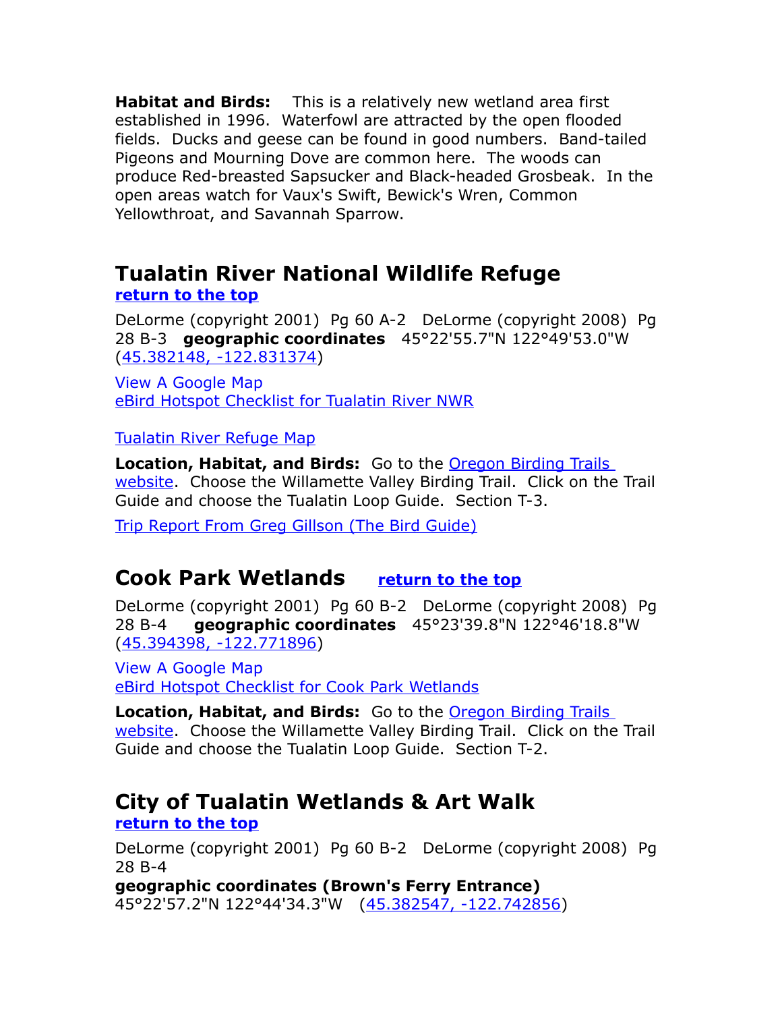**Habitat and Birds:** This is a relatively new wetland area first established in 1996. Waterfowl are attracted by the open flooded fields. Ducks and geese can be found in good numbers. Band-tailed Pigeons and Mourning Dove are common here. The woods can produce Red-breasted Sapsucker and Black-headed Grosbeak. In the open areas watch for Vaux's Swift, Bewick's Wren, Common Yellowthroat, and Savannah Sparrow.

# <span id="page-12-0"></span>**Tualatin River National Wildlife Refuge**

#### **[return to the top](#page-0-1)**

DeLorme (copyright 2001) Pg 60 A-2 DeLorme (copyright 2008) Pg 28 B-3 **geographic coordinates** 45°22'55.7"N 122°49'53.0"W [\(45.382148, -122.831374\)](https://www.google.com/maps/place/45%C2%B022)

[View A Google Map](http://maps.google.com/maps/ms?hl=en&ie=UTF8&msa=0&ll=45.377714,-122.794189&spn=0.379104,1.055374&z=11&msid=108036481085398338899.00046dc1b8a9302c85d31)  [eBird Hotspot Checklist for Tualatin River NWR](http://ebird.org/ebird/hotspot/L580373)

#### [Tualatin River Refuge Map](http://www.fws.gov/tualatinriver/visit.html)

**Location, Habitat, and Birds:** Go to the **Oregon Birding Trails** [website.](http://www.oregonbirdingtrails.org/) Choose the Willamette Valley Birding Trail. Click on the Trail Guide and choose the Tualatin Loop Guide. Section T-3.

[Trip Report From Greg Gillson \(The Bird Guide\)](http://thebirdguide.com/washington/site_guides/tualatin_river_nwr/Tualatin_River_NWR.htm)

## <span id="page-12-2"></span>**Cook Park Wetlands [return to the top](#page-0-1)**

DeLorme (copyright 2001) Pg 60 B-2 DeLorme (copyright 2008) Pg 28 B-4 **geographic coordinates** 45°23'39.8"N 122°46'18.8"W [\(45.394398, -122.771896\)](https://www.google.com/maps/place/45%C2%B023)

[View A Google Map](http://maps.google.com/maps/ms?hl=en&ie=UTF8&msa=0&ll=45.377714,-122.794189&spn=0.379104,1.055374&z=11&msid=108036481085398338899.00046dc1b8a9302c85d31) [eBird Hotspot Checklist for Cook Park Wetlands](http://ebird.org/ebird/hotspot/L862672)

**Location, Habitat, and Birds:** Go to the Oregon Birding Trails [website.](http://www.oregonbirdingtrails.org/) Choose the Willamette Valley Birding Trail. Click on the Trail Guide and choose the Tualatin Loop Guide. Section T-2.

## <span id="page-12-1"></span>**City of Tualatin Wetlands & Art Walk**

**[return to the top](#page-0-1)**

DeLorme (copyright 2001) Pg 60 B-2 DeLorme (copyright 2008) Pg 28 B-4

**geographic coordinates (Brown's Ferry Entrance)** 45°22'57.2"N 122°44'34.3"W [\(45.382547, -122.742856\)](https://www.google.com/maps/place/45%C2%B022)